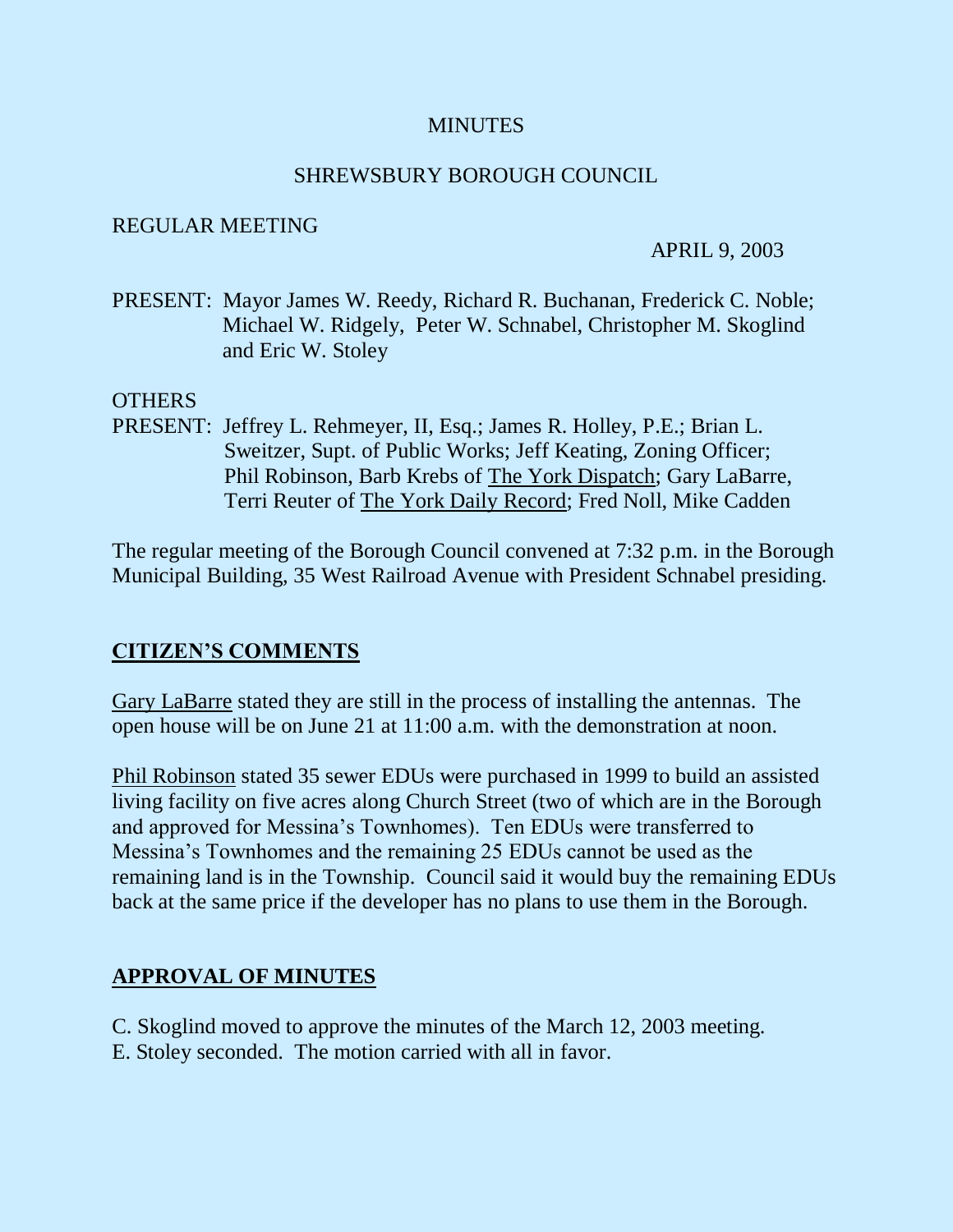#### **MINUTES**

#### SHREWSBURY BOROUGH COUNCIL

#### REGULAR MEETING

#### APRIL 9, 2003

PRESENT: Mayor James W. Reedy, Richard R. Buchanan, Frederick C. Noble; Michael W. Ridgely, Peter W. Schnabel, Christopher M. Skoglind and Eric W. Stoley

#### OTHERS

PRESENT: Jeffrey L. Rehmeyer, II, Esq.; James R. Holley, P.E.; Brian L. Sweitzer, Supt. of Public Works; Jeff Keating, Zoning Officer; Phil Robinson, Barb Krebs of The York Dispatch; Gary LaBarre, Terri Reuter of The York Daily Record; Fred Noll, Mike Cadden

The regular meeting of the Borough Council convened at 7:32 p.m. in the Borough Municipal Building, 35 West Railroad Avenue with President Schnabel presiding.

### **CITIZEN'S COMMENTS**

Gary LaBarre stated they are still in the process of installing the antennas. The open house will be on June 21 at 11:00 a.m. with the demonstration at noon.

Phil Robinson stated 35 sewer EDUs were purchased in 1999 to build an assisted living facility on five acres along Church Street (two of which are in the Borough and approved for Messina's Townhomes). Ten EDUs were transferred to Messina's Townhomes and the remaining 25 EDUs cannot be used as the remaining land is in the Township. Council said it would buy the remaining EDUs back at the same price if the developer has no plans to use them in the Borough.

### **APPROVAL OF MINUTES**

- C. Skoglind moved to approve the minutes of the March 12, 2003 meeting.
- E. Stoley seconded. The motion carried with all in favor.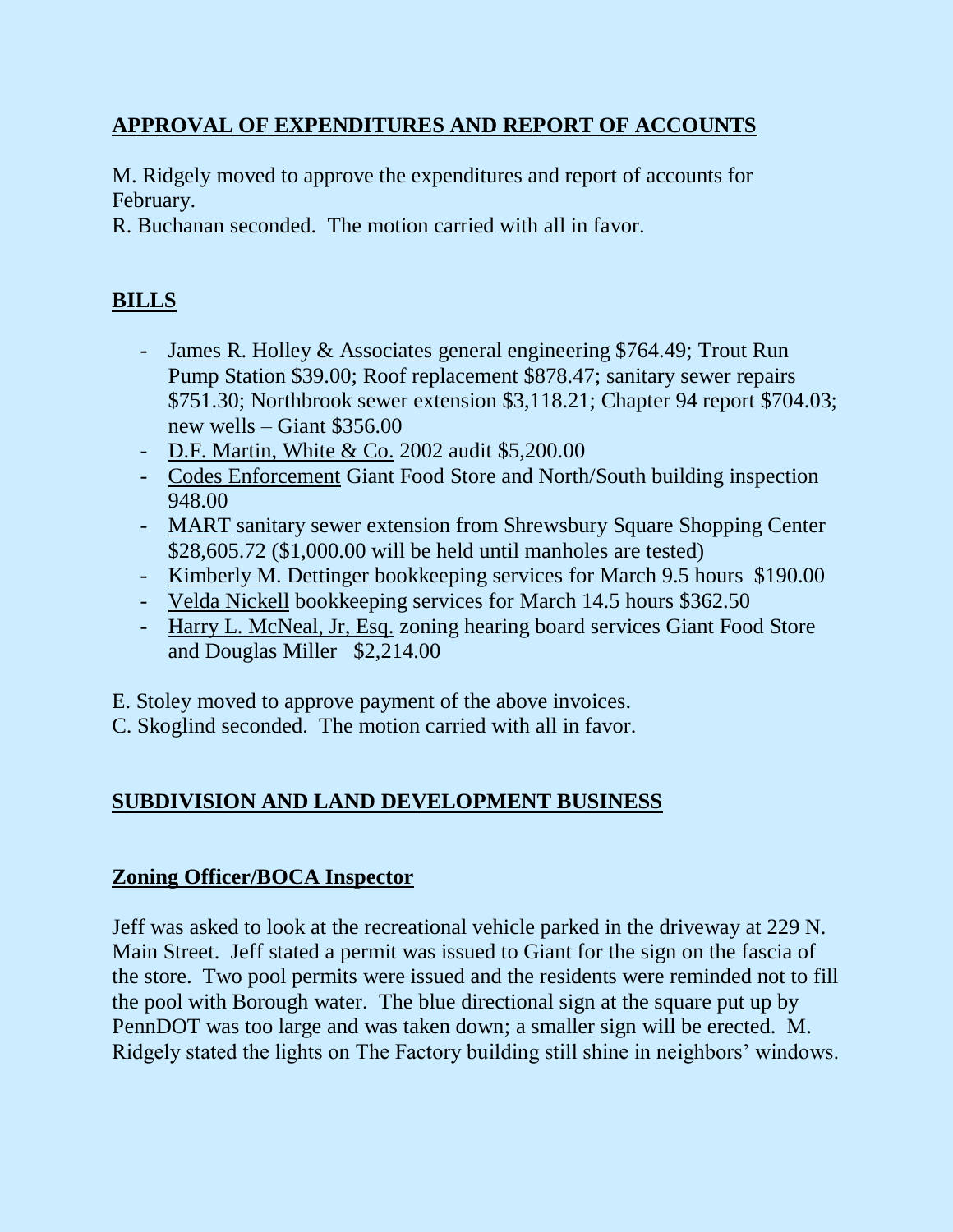# **APPROVAL OF EXPENDITURES AND REPORT OF ACCOUNTS**

M. Ridgely moved to approve the expenditures and report of accounts for February.

R. Buchanan seconded. The motion carried with all in favor.

# **BILLS**

- James R. Holley & Associates general engineering \$764.49; Trout Run Pump Station \$39.00; Roof replacement \$878.47; sanitary sewer repairs \$751.30; Northbrook sewer extension \$3,118.21; Chapter 94 report \$704.03; new wells – Giant \$356.00
- D.F. Martin, White & Co. 2002 audit \$5,200.00
- Codes Enforcement Giant Food Store and North/South building inspection 948.00
- MART sanitary sewer extension from Shrewsbury Square Shopping Center \$28,605.72 (\$1,000.00 will be held until manholes are tested)
- Kimberly M. Dettinger bookkeeping services for March 9.5 hours \$190.00
- Velda Nickell bookkeeping services for March 14.5 hours \$362.50
- Harry L. McNeal, Jr, Esq. zoning hearing board services Giant Food Store and Douglas Miller \$2,214.00

E. Stoley moved to approve payment of the above invoices.

C. Skoglind seconded. The motion carried with all in favor.

# **SUBDIVISION AND LAND DEVELOPMENT BUSINESS**

# **Zoning Officer/BOCA Inspector**

Jeff was asked to look at the recreational vehicle parked in the driveway at 229 N. Main Street. Jeff stated a permit was issued to Giant for the sign on the fascia of the store. Two pool permits were issued and the residents were reminded not to fill the pool with Borough water. The blue directional sign at the square put up by PennDOT was too large and was taken down; a smaller sign will be erected. M. Ridgely stated the lights on The Factory building still shine in neighbors' windows.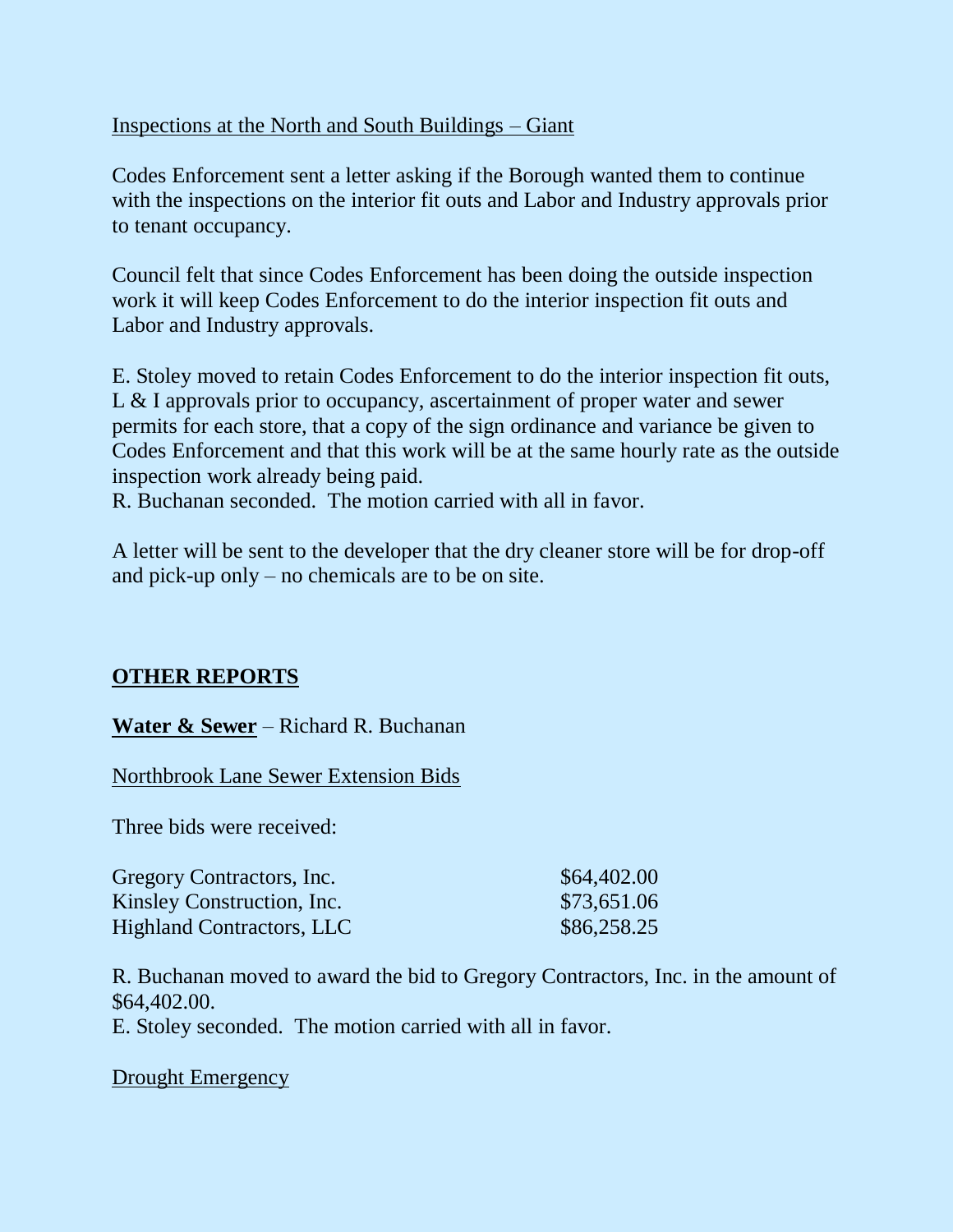### Inspections at the North and South Buildings – Giant

Codes Enforcement sent a letter asking if the Borough wanted them to continue with the inspections on the interior fit outs and Labor and Industry approvals prior to tenant occupancy.

Council felt that since Codes Enforcement has been doing the outside inspection work it will keep Codes Enforcement to do the interior inspection fit outs and Labor and Industry approvals.

E. Stoley moved to retain Codes Enforcement to do the interior inspection fit outs, L & I approvals prior to occupancy, ascertainment of proper water and sewer permits for each store, that a copy of the sign ordinance and variance be given to Codes Enforcement and that this work will be at the same hourly rate as the outside inspection work already being paid.

R. Buchanan seconded. The motion carried with all in favor.

A letter will be sent to the developer that the dry cleaner store will be for drop-off and pick-up only – no chemicals are to be on site.

### **OTHER REPORTS**

### **Water & Sewer** – Richard R. Buchanan

Northbrook Lane Sewer Extension Bids

Three bids were received:

| Gregory Contractors, Inc.        | \$64,402.00 |
|----------------------------------|-------------|
| Kinsley Construction, Inc.       | \$73,651.06 |
| <b>Highland Contractors, LLC</b> | \$86,258.25 |

R. Buchanan moved to award the bid to Gregory Contractors, Inc. in the amount of \$64,402.00.

E. Stoley seconded. The motion carried with all in favor.

Drought Emergency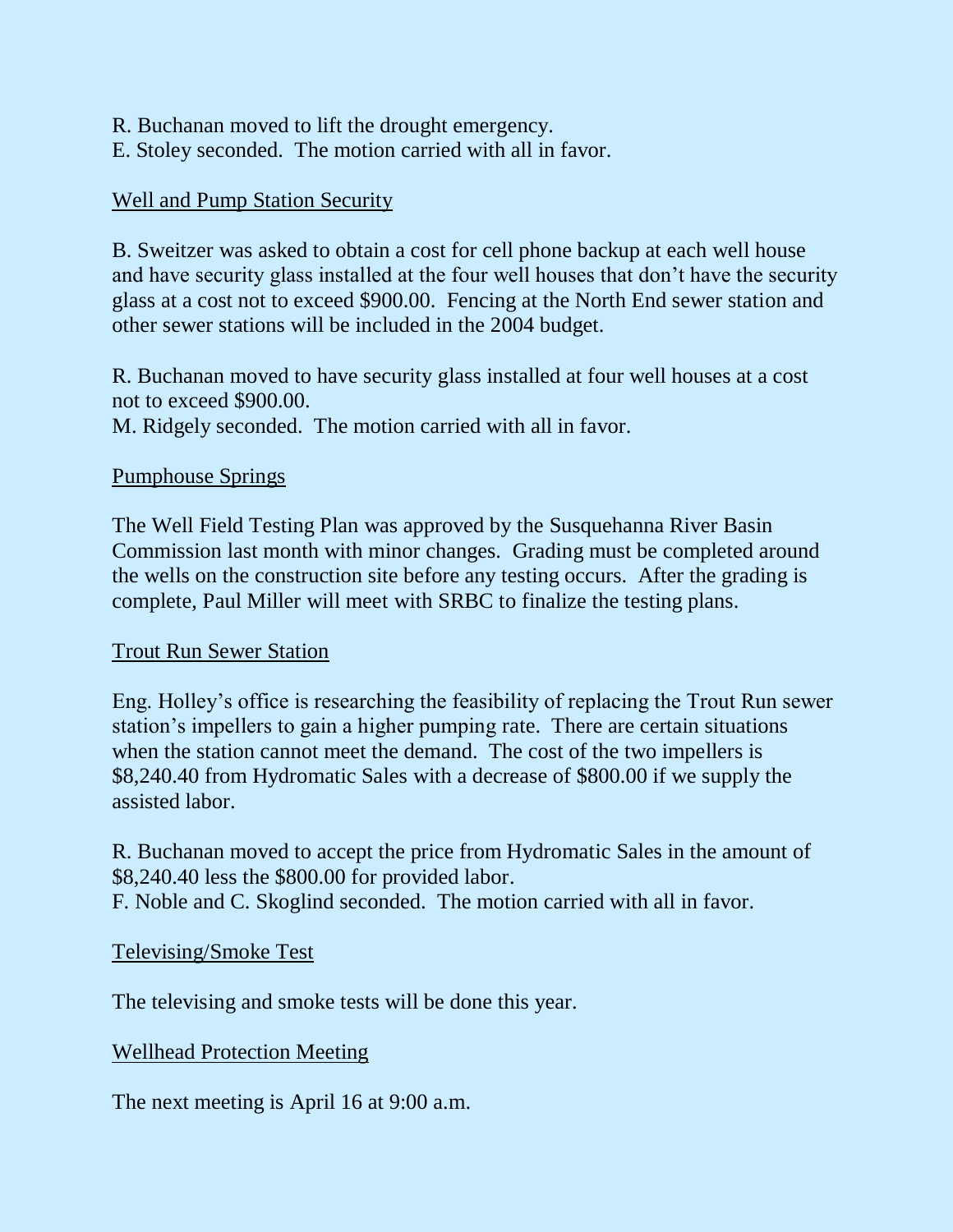- R. Buchanan moved to lift the drought emergency.
- E. Stoley seconded. The motion carried with all in favor.

## Well and Pump Station Security

B. Sweitzer was asked to obtain a cost for cell phone backup at each well house and have security glass installed at the four well houses that don't have the security glass at a cost not to exceed \$900.00. Fencing at the North End sewer station and other sewer stations will be included in the 2004 budget.

R. Buchanan moved to have security glass installed at four well houses at a cost not to exceed \$900.00.

M. Ridgely seconded. The motion carried with all in favor.

### Pumphouse Springs

The Well Field Testing Plan was approved by the Susquehanna River Basin Commission last month with minor changes. Grading must be completed around the wells on the construction site before any testing occurs. After the grading is complete, Paul Miller will meet with SRBC to finalize the testing plans.

### Trout Run Sewer Station

Eng. Holley's office is researching the feasibility of replacing the Trout Run sewer station's impellers to gain a higher pumping rate. There are certain situations when the station cannot meet the demand. The cost of the two impellers is \$8,240.40 from Hydromatic Sales with a decrease of \$800.00 if we supply the assisted labor.

R. Buchanan moved to accept the price from Hydromatic Sales in the amount of \$8,240.40 less the \$800.00 for provided labor.

F. Noble and C. Skoglind seconded. The motion carried with all in favor.

### Televising/Smoke Test

The televising and smoke tests will be done this year.

# Wellhead Protection Meeting

The next meeting is April 16 at 9:00 a.m.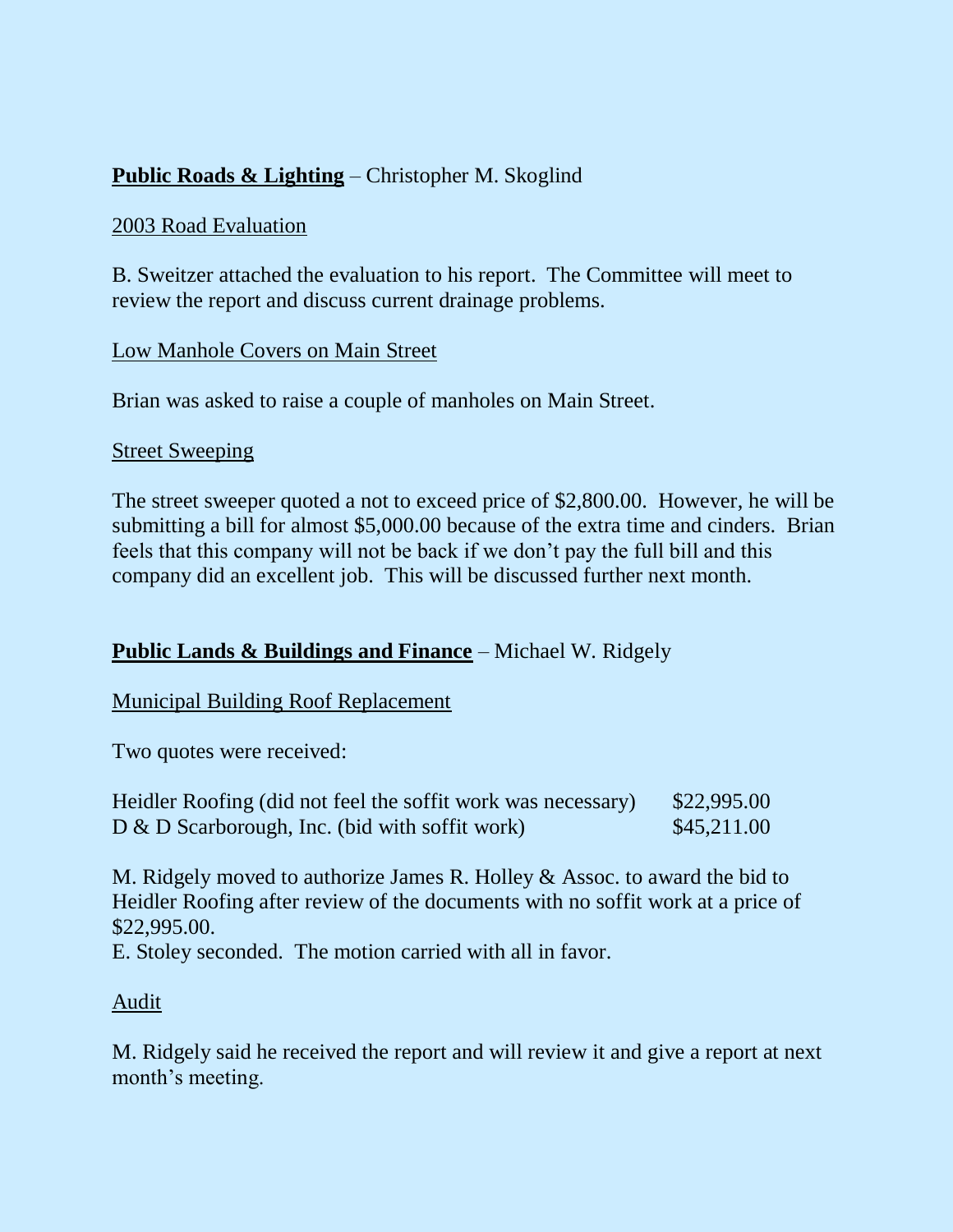# **Public Roads & Lighting** – Christopher M. Skoglind

#### 2003 Road Evaluation

B. Sweitzer attached the evaluation to his report. The Committee will meet to review the report and discuss current drainage problems.

#### Low Manhole Covers on Main Street

Brian was asked to raise a couple of manholes on Main Street.

#### Street Sweeping

The street sweeper quoted a not to exceed price of \$2,800.00. However, he will be submitting a bill for almost \$5,000.00 because of the extra time and cinders. Brian feels that this company will not be back if we don't pay the full bill and this company did an excellent job. This will be discussed further next month.

### **Public Lands & Buildings and Finance** – Michael W. Ridgely

### Municipal Building Roof Replacement

Two quotes were received:

| Heidler Roofing (did not feel the soffit work was necessary) | \$22,995.00 |
|--------------------------------------------------------------|-------------|
| $D \& D$ Scarborough, Inc. (bid with soffit work)            | \$45,211.00 |

M. Ridgely moved to authorize James R. Holley & Assoc. to award the bid to Heidler Roofing after review of the documents with no soffit work at a price of \$22,995.00.

E. Stoley seconded. The motion carried with all in favor.

### Audit

M. Ridgely said he received the report and will review it and give a report at next month's meeting.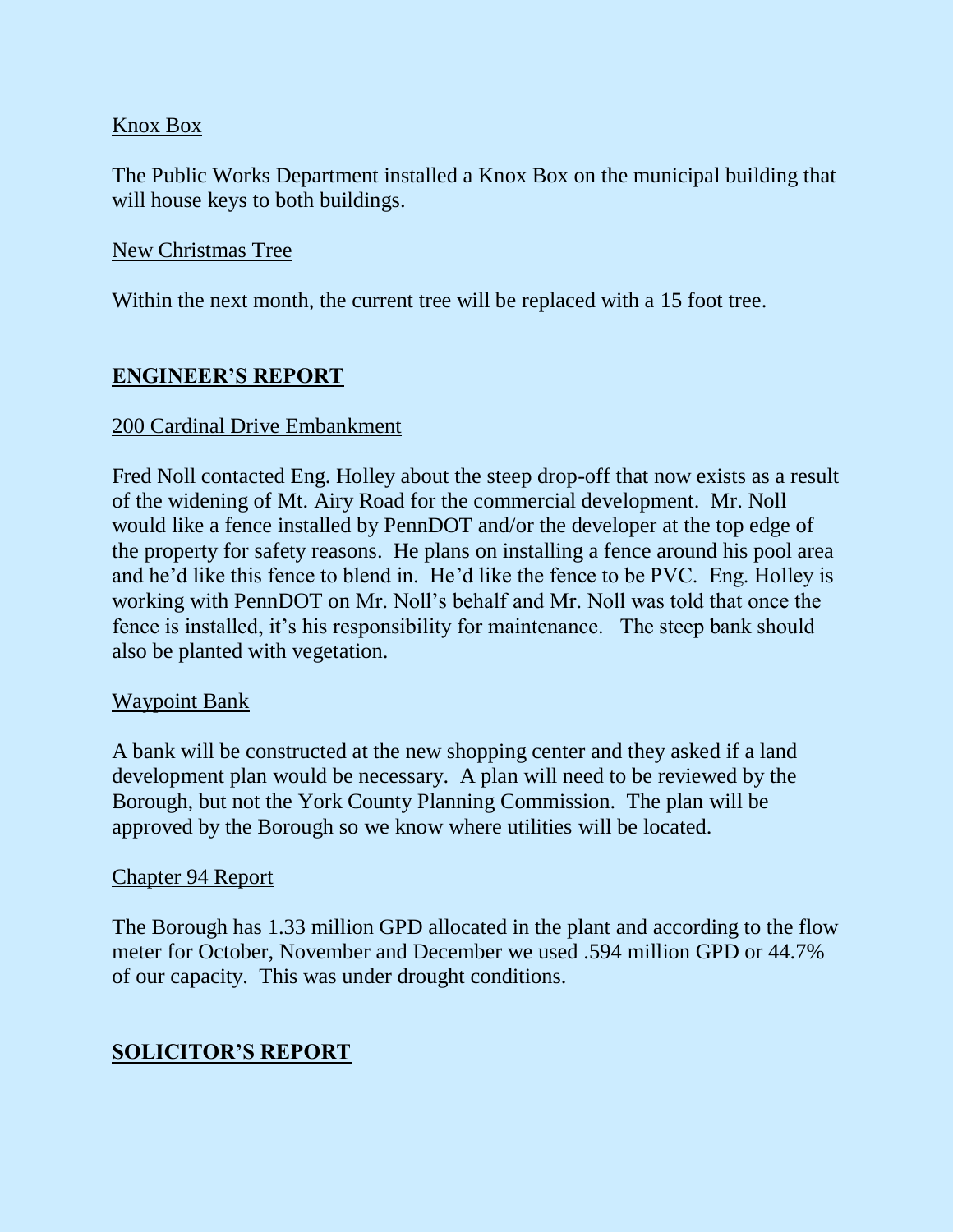### Knox Box

The Public Works Department installed a Knox Box on the municipal building that will house keys to both buildings.

#### New Christmas Tree

Within the next month, the current tree will be replaced with a 15 foot tree.

### **ENGINEER'S REPORT**

#### 200 Cardinal Drive Embankment

Fred Noll contacted Eng. Holley about the steep drop-off that now exists as a result of the widening of Mt. Airy Road for the commercial development. Mr. Noll would like a fence installed by PennDOT and/or the developer at the top edge of the property for safety reasons. He plans on installing a fence around his pool area and he'd like this fence to blend in. He'd like the fence to be PVC. Eng. Holley is working with PennDOT on Mr. Noll's behalf and Mr. Noll was told that once the fence is installed, it's his responsibility for maintenance. The steep bank should also be planted with vegetation.

#### Waypoint Bank

A bank will be constructed at the new shopping center and they asked if a land development plan would be necessary. A plan will need to be reviewed by the Borough, but not the York County Planning Commission. The plan will be approved by the Borough so we know where utilities will be located.

#### Chapter 94 Report

The Borough has 1.33 million GPD allocated in the plant and according to the flow meter for October, November and December we used .594 million GPD or 44.7% of our capacity. This was under drought conditions.

### **SOLICITOR'S REPORT**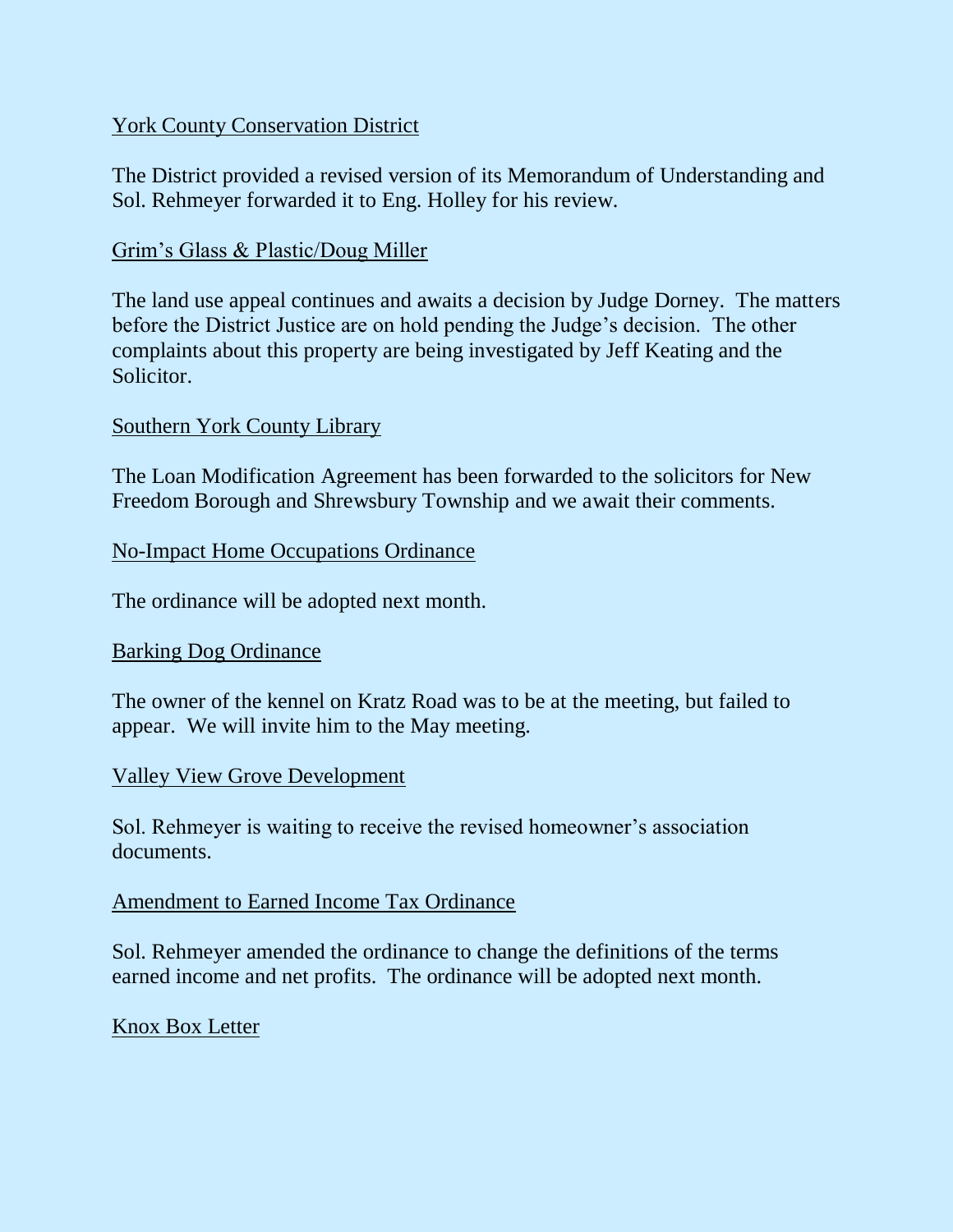### York County Conservation District

The District provided a revised version of its Memorandum of Understanding and Sol. Rehmeyer forwarded it to Eng. Holley for his review.

### Grim's Glass & Plastic/Doug Miller

The land use appeal continues and awaits a decision by Judge Dorney. The matters before the District Justice are on hold pending the Judge's decision. The other complaints about this property are being investigated by Jeff Keating and the Solicitor.

#### Southern York County Library

The Loan Modification Agreement has been forwarded to the solicitors for New Freedom Borough and Shrewsbury Township and we await their comments.

#### No-Impact Home Occupations Ordinance

The ordinance will be adopted next month.

#### Barking Dog Ordinance

The owner of the kennel on Kratz Road was to be at the meeting, but failed to appear. We will invite him to the May meeting.

#### Valley View Grove Development

Sol. Rehmeyer is waiting to receive the revised homeowner's association documents.

#### Amendment to Earned Income Tax Ordinance

Sol. Rehmeyer amended the ordinance to change the definitions of the terms earned income and net profits. The ordinance will be adopted next month.

#### Knox Box Letter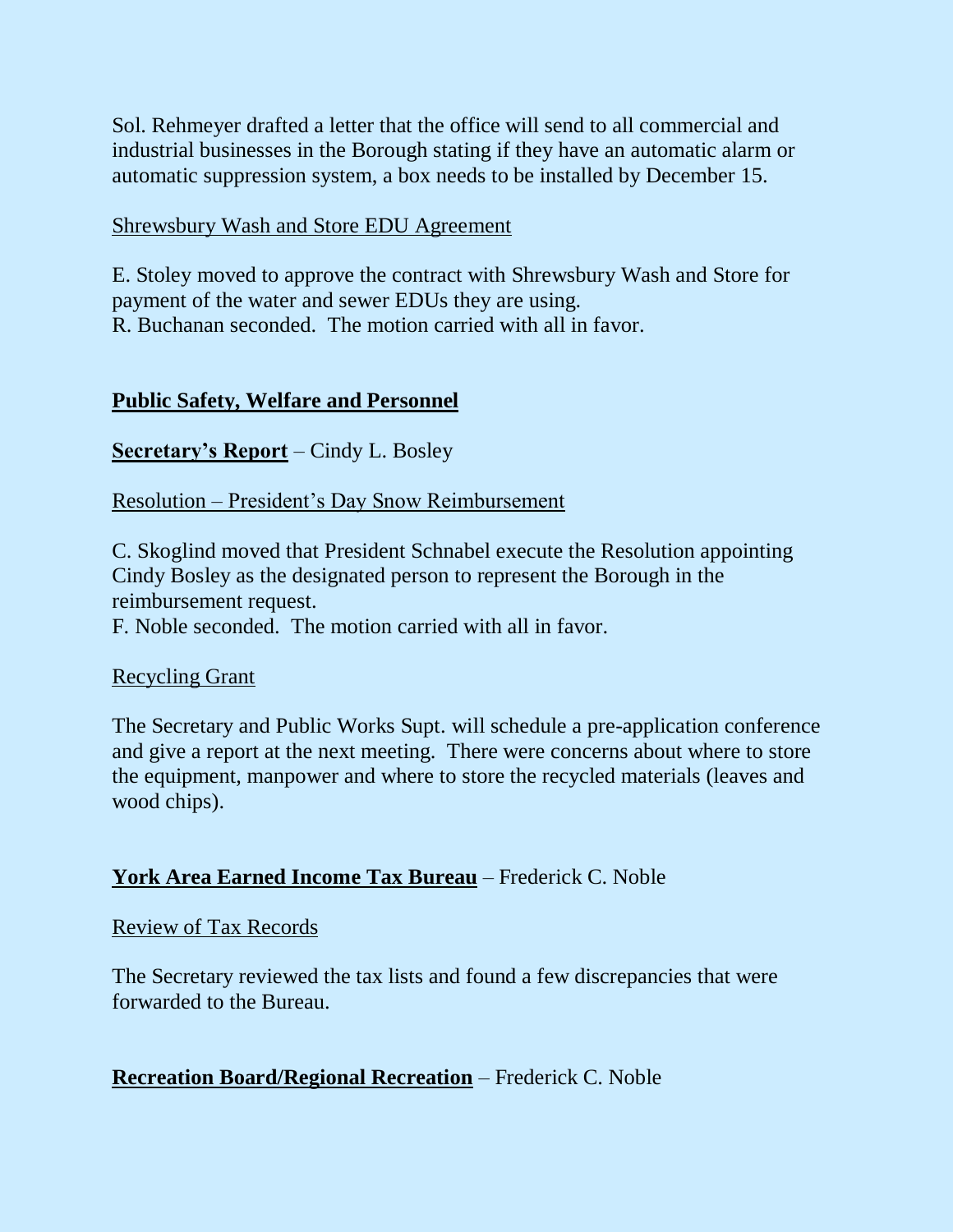Sol. Rehmeyer drafted a letter that the office will send to all commercial and industrial businesses in the Borough stating if they have an automatic alarm or automatic suppression system, a box needs to be installed by December 15.

### Shrewsbury Wash and Store EDU Agreement

E. Stoley moved to approve the contract with Shrewsbury Wash and Store for payment of the water and sewer EDUs they are using. R. Buchanan seconded. The motion carried with all in favor.

### **Public Safety, Welfare and Personnel**

### **Secretary's Report** – Cindy L. Bosley

### Resolution – President's Day Snow Reimbursement

C. Skoglind moved that President Schnabel execute the Resolution appointing Cindy Bosley as the designated person to represent the Borough in the reimbursement request.

F. Noble seconded. The motion carried with all in favor.

### Recycling Grant

The Secretary and Public Works Supt. will schedule a pre-application conference and give a report at the next meeting. There were concerns about where to store the equipment, manpower and where to store the recycled materials (leaves and wood chips).

### **York Area Earned Income Tax Bureau** – Frederick C. Noble

### Review of Tax Records

The Secretary reviewed the tax lists and found a few discrepancies that were forwarded to the Bureau.

# **Recreation Board/Regional Recreation** – Frederick C. Noble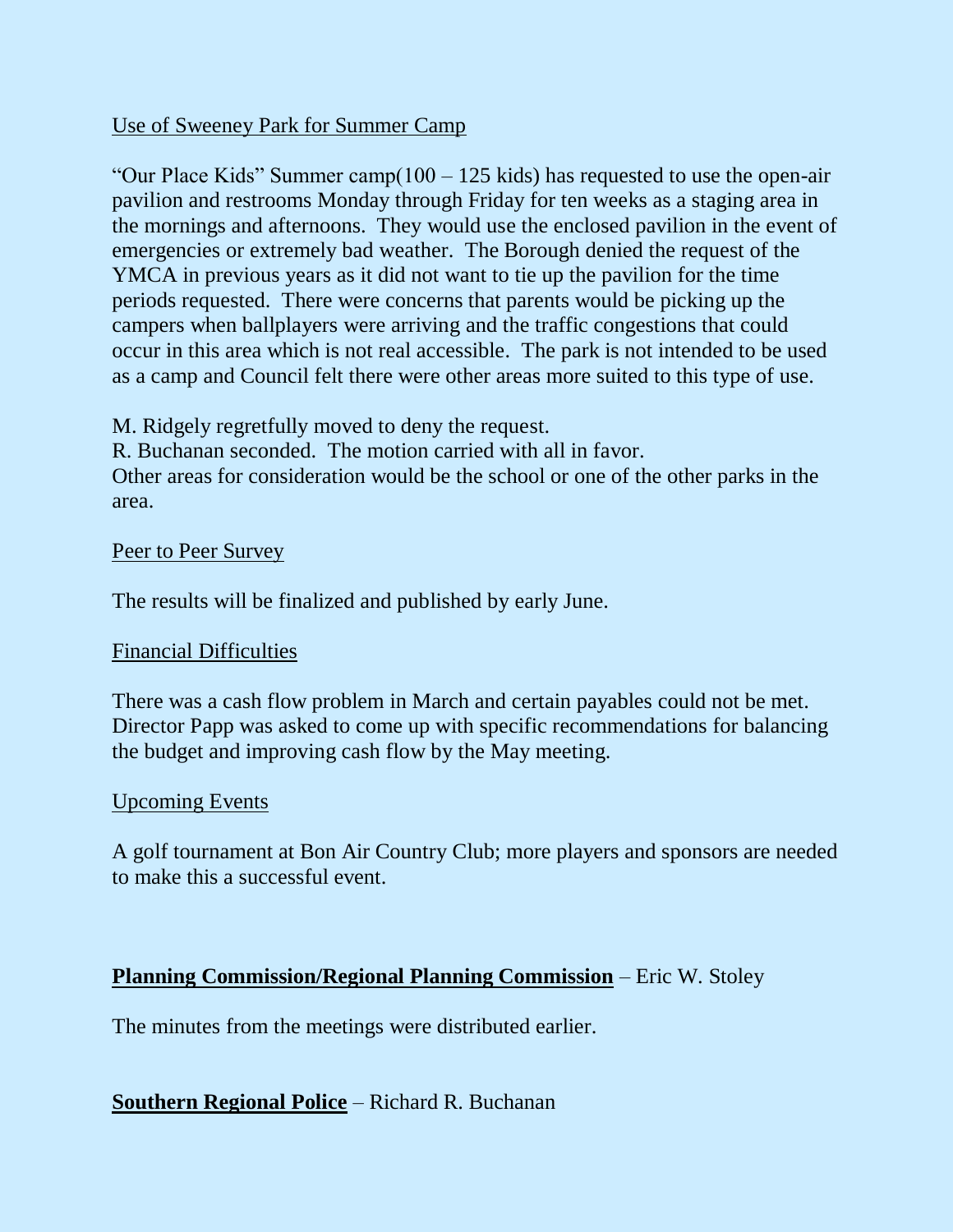### Use of Sweeney Park for Summer Camp

"Our Place Kids" Summer camp $(100 - 125 \text{ kids})$  has requested to use the open-air pavilion and restrooms Monday through Friday for ten weeks as a staging area in the mornings and afternoons. They would use the enclosed pavilion in the event of emergencies or extremely bad weather. The Borough denied the request of the YMCA in previous years as it did not want to tie up the pavilion for the time periods requested. There were concerns that parents would be picking up the campers when ballplayers were arriving and the traffic congestions that could occur in this area which is not real accessible. The park is not intended to be used as a camp and Council felt there were other areas more suited to this type of use.

M. Ridgely regretfully moved to deny the request.

R. Buchanan seconded. The motion carried with all in favor.

Other areas for consideration would be the school or one of the other parks in the area.

### Peer to Peer Survey

The results will be finalized and published by early June.

### Financial Difficulties

There was a cash flow problem in March and certain payables could not be met. Director Papp was asked to come up with specific recommendations for balancing the budget and improving cash flow by the May meeting.

### Upcoming Events

A golf tournament at Bon Air Country Club; more players and sponsors are needed to make this a successful event.

### **Planning Commission/Regional Planning Commission** – Eric W. Stoley

The minutes from the meetings were distributed earlier.

# **Southern Regional Police** – Richard R. Buchanan